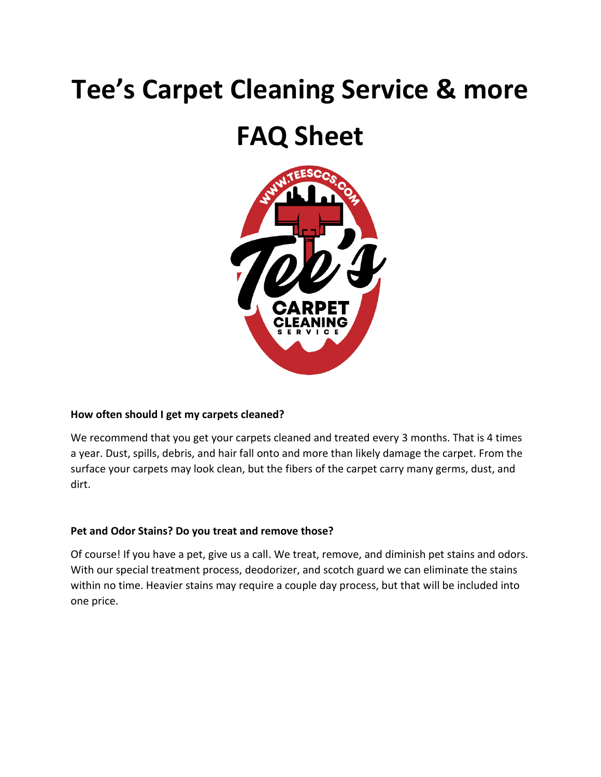# **Tee's Carpet Cleaning Service & more**

# **FAQ Sheet**



#### **How often should I get my carpets cleaned?**

We recommend that you get your carpets cleaned and treated every 3 months. That is 4 times a year. Dust, spills, debris, and hair fall onto and more than likely damage the carpet. From the surface your carpets may look clean, but the fibers of the carpet carry many germs, dust, and dirt.

#### **Pet and Odor Stains? Do you treat and remove those?**

Of course! If you have a pet, give us a call. We treat, remove, and diminish pet stains and odors. With our special treatment process, deodorizer, and scotch guard we can eliminate the stains within no time. Heavier stains may require a couple day process, but that will be included into one price.